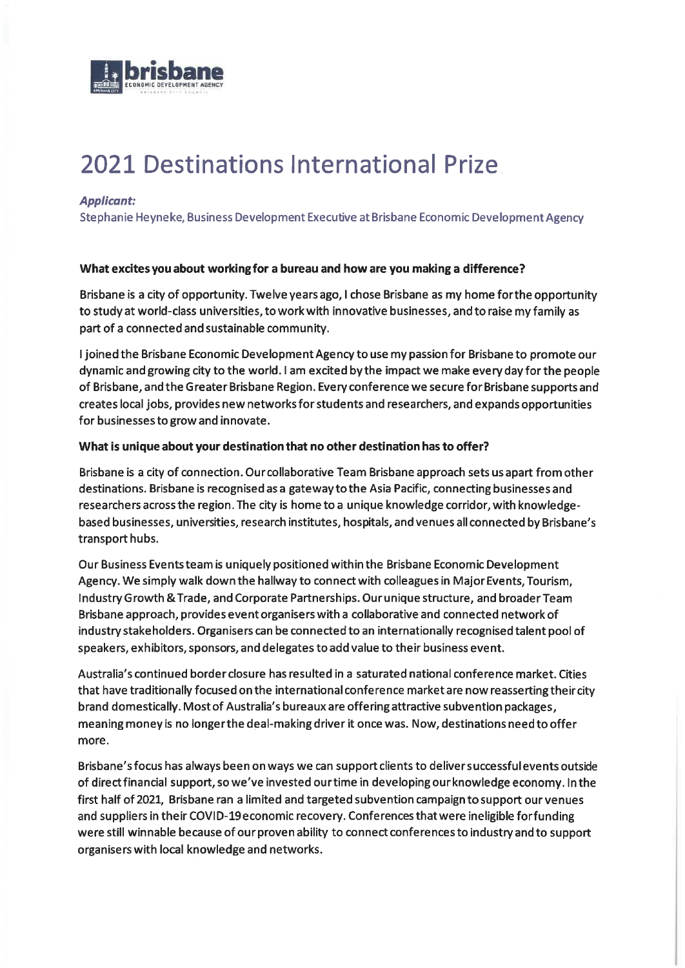

# 2021 Destinations International Prize

### Applicant:

Stephanie Heyneke, Business Development Executive at Brisbane Economic Development Agency

#### What excites you about workingfor a bureau and how are you making a difference?

Brisbane is a city of opportunity. Twelve years ago, I chose Brisbane as my home forthe opportunity to study at world-class universities, to work with innovative businesses, and to raise my family as part of a connected and sustainable community.

I joined the Brisbane Economic Development Agency to use my passion for Brisbane to promote our dynamic and growing city to the world. I am excited by the impact we make every day for the people of Brisbane, and the Greater Brisbane Region. Every conference we secure for Brisbane supports and creates local jobs, provides new networks for students and researchers, and expands opportunities for businesses to grow and innovate.

#### What is unique about your destination that no other destination has to offer?

Brisbane is a city of connection. Our collaborative Team Brisbane approach sets us apart from other destinations. Brisbane is recognised as a gateway to the Asia Pacific, connecting businesses and researchers across the region. The city is home to a unique knowledge corridor, with knowledgebased businesses, universities, research institutes, hospitals, and venues all connected by Brisbane's transport hubs.

Our Business Events team is uniquely positioned within the Brisbane Economic Development Agency. We simply walk down the hallway to connect with colleagues in MajorEvents, Tourism, IndustryGrowth &Trade, and Corporate Partnerships. Ourunique structure, and broaderTeam Brisbane approach, provides event organisers with a collaborative and connected network of industry stakeholders. Organisers can be connected to an internationally recognised talent pool of speakers, exhibitors, sponsors, and delegates to add value to their business event.

Australia's continued border closure has resulted in a saturated national conference market. Cities that have traditionally focused on the international conference market are now reassertingtheir city brand domestically. Most of Australia's bureaux are offering attractive subvention packages, meaning money is no longerthe deal-making driver it once was. Now, destinations need to offer more.

Brisbane's focus has always been on ways we can support clients to deliver successful events outside of direct financial support, so we've invested our time in developing our knowledge economy. In the first half of 2021, Brisbane ran a limited and targeted subvention campaign to support our venues and suppliers in their COVID-19 economic recovery. Conferences that were ineligible for funding were still winnable because of our proven ability to connect conferences to industry and to support organisers with local knowledge and networks.